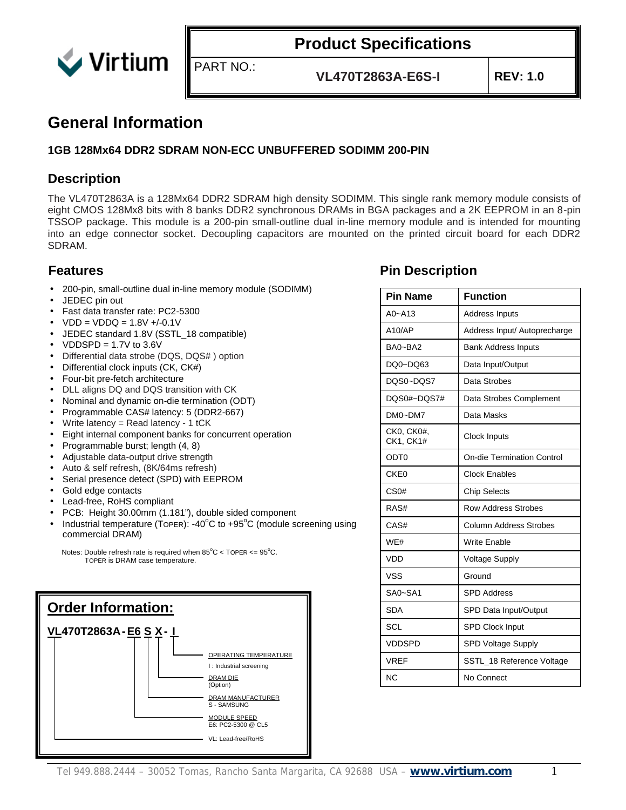

**VL470T2863A-E6S-I REV: 1.0**

#### **General Information**

#### **1GB 128Mx64 DDR2 SDRAM NON-ECC UNBUFFERED SODIMM 200-PIN**

PART NO.:

#### **Description**

The VL470T2863A is a 128Mx64 DDR2 SDRAM high density SODIMM. This single rank memory module consists of eight CMOS 128Mx8 bits with 8 banks DDR2 synchronous DRAMs in BGA packages and a 2K EEPROM in an 8-pin TSSOP package. This module is a 200-pin small-outline dual in-line memory module and is intended for mounting into an edge connector socket. Decoupling capacitors are mounted on the printed circuit board for each DDR2 SDRAM.

- 200-pin, small-outline dual in-line memory module (SODIMM)
- JEDEC pin out
- Fast data transfer rate: PC2-5300
- $VDD = VDDQ = 1.8V + (-0.1V)$
- JEDEC standard 1.8V (SSTL\_18 compatible)
- $VDDSPD = 1.7V$  to 3.6V
- Differential data strobe (DQS, DQS# ) option
- Differential clock inputs (CK, CK#)
- Four-bit pre-fetch architecture
- DLL aligns DQ and DQS transition with CK
- Nominal and dynamic on-die termination (ODT)
- Programmable CAS# latency: 5 (DDR2-667)
- Write latency = Read latency 1 tCK
- Eight internal component banks for concurrent operation
- Programmable burst; length (4, 8)
- Adjustable data-output drive strength
- Auto & self refresh, (8K/64ms refresh)
- Serial presence detect (SPD) with EEPROM
- Gold edge contacts
- Lead-free, RoHS compliant
- PCB: Height 30.00mm (1.181"), double sided component
- Industrial temperature (TOPER): -40 $^{\circ}$ C to +95 $^{\circ}$ C (module screening using commercial DRAM)

Notes: Double refresh rate is required when  $85^{\circ}$ C < TOPER <=  $95^{\circ}$ C. TOPER is DRAM case temperature.



#### **Features Pin Description**

| <b>Pin Name</b>         | <b>Function</b>                   |  |  |  |  |  |  |
|-------------------------|-----------------------------------|--|--|--|--|--|--|
| $A0 - A13$              | <b>Address Inputs</b>             |  |  |  |  |  |  |
| A10/AP                  | Address Input/ Autoprecharge      |  |  |  |  |  |  |
| BA0~BA2                 | <b>Bank Address Inputs</b>        |  |  |  |  |  |  |
| DO0~DO63                | Data Input/Output                 |  |  |  |  |  |  |
| DOS0~DOS7               | Data Strobes                      |  |  |  |  |  |  |
| DQS0#~DQS7#             | Data Strobes Complement           |  |  |  |  |  |  |
| DM0~DM7                 | Data Masks                        |  |  |  |  |  |  |
| CK0, CK0#,<br>CK1, CK1# | Clock Inputs                      |  |  |  |  |  |  |
| ODT0                    | <b>On-die Termination Control</b> |  |  |  |  |  |  |
| CKE <sub>0</sub>        | <b>Clock Enables</b>              |  |  |  |  |  |  |
| CS <sub>0#</sub>        | <b>Chip Selects</b>               |  |  |  |  |  |  |
| RAS#                    | <b>Row Address Strobes</b>        |  |  |  |  |  |  |
| CAS#                    | <b>Column Address Strobes</b>     |  |  |  |  |  |  |
| WF#                     | <b>Write Enable</b>               |  |  |  |  |  |  |
| VDD                     | <b>Voltage Supply</b>             |  |  |  |  |  |  |
| <b>VSS</b>              | Ground                            |  |  |  |  |  |  |
| SA0~SA1                 | <b>SPD Address</b>                |  |  |  |  |  |  |
| <b>SDA</b>              | SPD Data Input/Output             |  |  |  |  |  |  |
| SCL                     | <b>SPD Clock Input</b>            |  |  |  |  |  |  |
| <b>VDDSPD</b>           | SPD Voltage Supply                |  |  |  |  |  |  |
| <b>VREF</b>             | SSTL 18 Reference Voltage         |  |  |  |  |  |  |
| <b>NC</b>               | No Connect                        |  |  |  |  |  |  |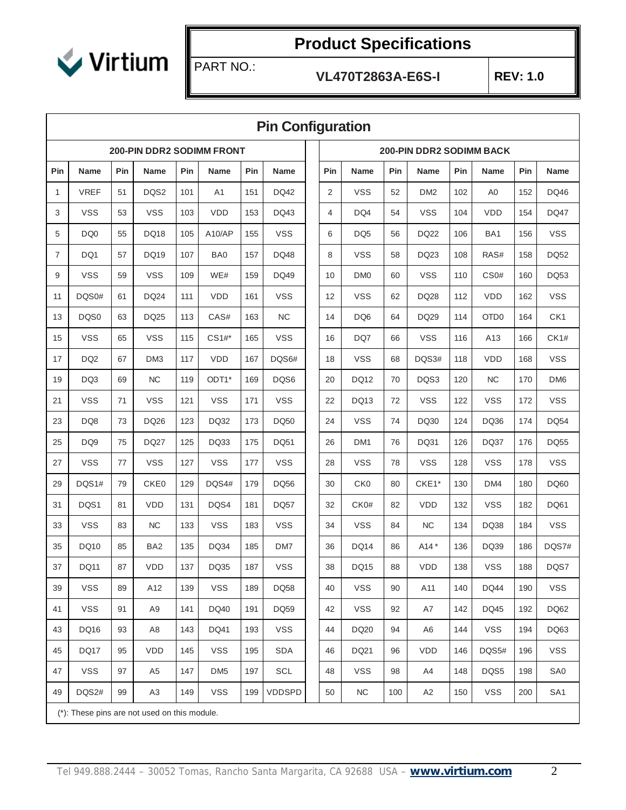

Г

# **Product Specifications**

PART NO.:

**VL470T2863A-E6S-I REV: 1.0**

|                | <b>Pin Configuration</b>                     |     |                 |     |                                  |     |               |  |            |                 |     |                                 |     |                  |            |                 |
|----------------|----------------------------------------------|-----|-----------------|-----|----------------------------------|-----|---------------|--|------------|-----------------|-----|---------------------------------|-----|------------------|------------|-----------------|
|                |                                              |     |                 |     | <b>200-PIN DDR2 SODIMM FRONT</b> |     |               |  |            |                 |     | <b>200-PIN DDR2 SODIMM BACK</b> |     |                  |            |                 |
| Pin            | <b>Name</b>                                  | Pin | Name            | Pin | <b>Name</b>                      | Pin | Name          |  | <b>Pin</b> | <b>Name</b>     | Pin | Name                            | Pin | Name             | <b>Pin</b> | <b>Name</b>     |
| 1              | <b>VREF</b>                                  | 51  | DQS2            | 101 | A <sub>1</sub>                   | 151 | <b>DQ42</b>   |  | 2          | <b>VSS</b>      | 52  | DM <sub>2</sub>                 | 102 | A <sub>0</sub>   | 152        | DQ46            |
| 3              | <b>VSS</b>                                   | 53  | <b>VSS</b>      | 103 | <b>VDD</b>                       | 153 | DQ43          |  | 4          | DQ4             | 54  | <b>VSS</b>                      | 104 | <b>VDD</b>       | 154        | <b>DQ47</b>     |
| 5              | DQ <sub>0</sub>                              | 55  | <b>DQ18</b>     | 105 | A10/AP                           | 155 | <b>VSS</b>    |  | 6          | DQ <sub>5</sub> | 56  | <b>DQ22</b>                     | 106 | BA1              | 156        | <b>VSS</b>      |
| $\overline{7}$ | DQ1                                          | 57  | DQ19            | 107 | BA0                              | 157 | DQ48          |  | 8          | <b>VSS</b>      | 58  | DQ23                            | 108 | RAS#             | 158        | <b>DQ52</b>     |
| 9              | <b>VSS</b>                                   | 59  | <b>VSS</b>      | 109 | WE#                              | 159 | <b>DQ49</b>   |  | 10         | DM <sub>0</sub> | 60  | <b>VSS</b>                      | 110 | CS <sub>0#</sub> | 160        | <b>DQ53</b>     |
| 11             | DQS0#                                        | 61  | <b>DQ24</b>     | 111 | <b>VDD</b>                       | 161 | <b>VSS</b>    |  | 12         | <b>VSS</b>      | 62  | DQ28                            | 112 | <b>VDD</b>       | 162        | <b>VSS</b>      |
| 13             | DQS0                                         | 63  | DQ25            | 113 | CAS#                             | 163 | NC            |  | 14         | DQ <sub>6</sub> | 64  | <b>DQ29</b>                     | 114 | OTD <sub>0</sub> | 164        | CK1             |
| 15             | <b>VSS</b>                                   | 65  | <b>VSS</b>      | 115 | $CS1#$ *                         | 165 | <b>VSS</b>    |  | 16         | DQ7             | 66  | <b>VSS</b>                      | 116 | A13              | 166        | CK1#            |
| 17             | DQ <sub>2</sub>                              | 67  | DM <sub>3</sub> | 117 | <b>VDD</b>                       | 167 | DQS6#         |  | 18         | <b>VSS</b>      | 68  | DQS3#                           | 118 | <b>VDD</b>       | 168        | <b>VSS</b>      |
| 19             | DQ3                                          | 69  | <b>NC</b>       | 119 | ODT1*                            | 169 | DQS6          |  | 20         | DQ12            | 70  | DQS3                            | 120 | <b>NC</b>        | 170        | DM <sub>6</sub> |
| 21             | <b>VSS</b>                                   | 71  | <b>VSS</b>      | 121 | <b>VSS</b>                       | 171 | <b>VSS</b>    |  | 22         | DQ13            | 72  | <b>VSS</b>                      | 122 | <b>VSS</b>       | 172        | <b>VSS</b>      |
| 23             | DQ8                                          | 73  | DQ26            | 123 | <b>DQ32</b>                      | 173 | <b>DQ50</b>   |  | 24         | <b>VSS</b>      | 74  | DQ30                            | 124 | DQ36             | 174        | <b>DQ54</b>     |
| 25             | DQ <sub>9</sub>                              | 75  | <b>DQ27</b>     | 125 | DQ33                             | 175 | DQ51          |  | 26         | DM <sub>1</sub> | 76  | DQ31                            | 126 | DQ37             | 176        | <b>DQ55</b>     |
| 27             | <b>VSS</b>                                   | 77  | <b>VSS</b>      | 127 | <b>VSS</b>                       | 177 | <b>VSS</b>    |  | 28         | <b>VSS</b>      | 78  | <b>VSS</b>                      | 128 | <b>VSS</b>       | 178        | <b>VSS</b>      |
| 29             | DQS1#                                        | 79  | CKE0            | 129 | DQS4#                            | 179 | <b>DQ56</b>   |  | 30         | CK <sub>0</sub> | 80  | CKE1*                           | 130 | DM4              | 180        | DQ60            |
| 31             | DQS1                                         | 81  | <b>VDD</b>      | 131 | DQS4                             | 181 | <b>DQ57</b>   |  | 32         | CK0#            | 82  | <b>VDD</b>                      | 132 | <b>VSS</b>       | 182        | <b>DQ61</b>     |
| 33             | <b>VSS</b>                                   | 83  | NC              | 133 | <b>VSS</b>                       | 183 | <b>VSS</b>    |  | 34         | <b>VSS</b>      | 84  | NC                              | 134 | DQ38             | 184        | <b>VSS</b>      |
| 35             | <b>DQ10</b>                                  | 85  | BA <sub>2</sub> | 135 | DQ34                             | 185 | DM7           |  | 36         | <b>DQ14</b>     | 86  | A14 *                           | 136 | DQ39             | 186        | DQS7#           |
| 37             | <b>DQ11</b>                                  | 87  | <b>VDD</b>      | 137 | <b>DQ35</b>                      | 187 | <b>VSS</b>    |  | 38         | <b>DQ15</b>     | 88  | <b>VDD</b>                      | 138 | <b>VSS</b>       | 188        | DQS7            |
| 39             | <b>VSS</b>                                   | 89  | A12             | 139 | <b>VSS</b>                       | 189 | <b>DQ58</b>   |  | 40         | <b>VSS</b>      | 90  | A11                             | 140 | <b>DQ44</b>      | 190        | <b>VSS</b>      |
| 41             | <b>VSS</b>                                   | 91  | A <sub>9</sub>  | 141 | DQ40                             | 191 | <b>DQ59</b>   |  | 42         | <b>VSS</b>      | 92  | A7                              | 142 | DQ45             | 192        | DQ62            |
| 43             | DQ16                                         | 93  | A8              | 143 | DQ41                             | 193 | <b>VSS</b>    |  | 44         | DQ20            | 94  | A6                              | 144 | <b>VSS</b>       | 194        | DQ63            |
| 45             | <b>DQ17</b>                                  | 95  | <b>VDD</b>      | 145 | <b>VSS</b>                       | 195 | SDA           |  | 46         | DQ21            | 96  | <b>VDD</b>                      | 146 | DQS5#            | 196        | <b>VSS</b>      |
| 47             | <b>VSS</b>                                   | 97  | A5              | 147 | DM <sub>5</sub>                  | 197 | SCL           |  | 48         | <b>VSS</b>      | 98  | A4                              | 148 | DQS5             | 198        | SA0             |
| 49             | DQS2#                                        | 99  | A <sub>3</sub>  | 149 | <b>VSS</b>                       | 199 | <b>VDDSPD</b> |  | 50         | <b>NC</b>       | 100 | A <sub>2</sub>                  | 150 | <b>VSS</b>       | 200        | SA <sub>1</sub> |
|                | (*): These pins are not used on this module. |     |                 |     |                                  |     |               |  |            |                 |     |                                 |     |                  |            |                 |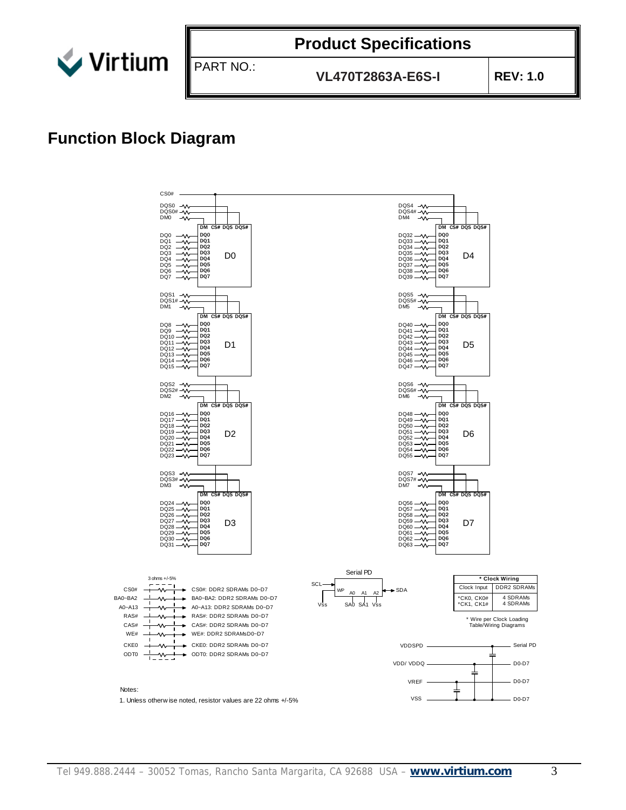

PART NO.:

**VL470T2863A-E6S-I REV: 1.0**

## **Function Block Diagram**

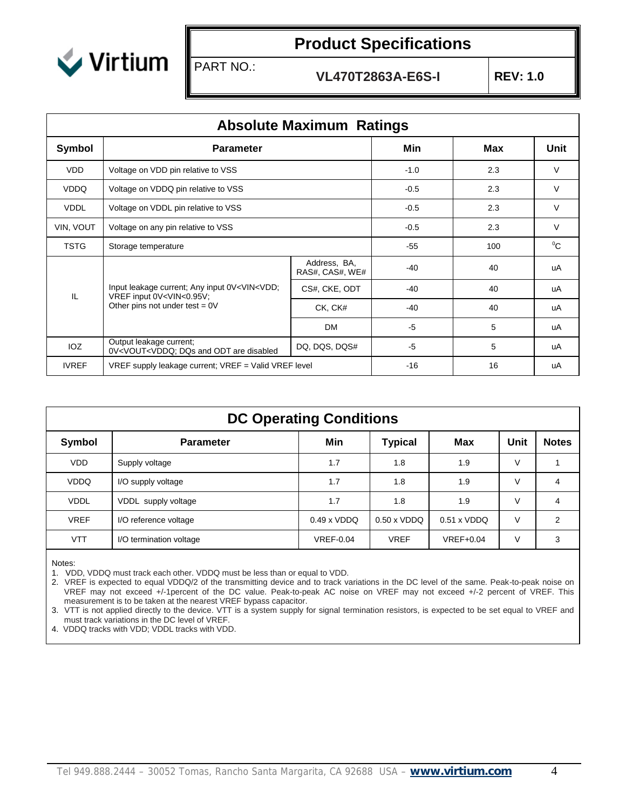

PART NO.:

**VL470T2863A-E6S-I REV: 1.0**

|              | <b>Absolute Maximum Ratings</b>                                                                                                                                                    |                                 |       |         |      |  |  |  |  |  |
|--------------|------------------------------------------------------------------------------------------------------------------------------------------------------------------------------------|---------------------------------|-------|---------|------|--|--|--|--|--|
| Symbol       | <b>Parameter</b>                                                                                                                                                                   |                                 | Min   | Max     | Unit |  |  |  |  |  |
| <b>VDD</b>   | Voltage on VDD pin relative to VSS                                                                                                                                                 | $-1.0$                          | 2.3   | $\vee$  |      |  |  |  |  |  |
| <b>VDDQ</b>  | Voltage on VDDQ pin relative to VSS                                                                                                                                                | $-0.5$                          | 2.3   | V       |      |  |  |  |  |  |
| <b>VDDL</b>  | Voltage on VDDL pin relative to VSS                                                                                                                                                | $-0.5$                          | 2.3   | $\vee$  |      |  |  |  |  |  |
| VIN, VOUT    | Voltage on any pin relative to VSS                                                                                                                                                 | $-0.5$                          | 2.3   | $\vee$  |      |  |  |  |  |  |
| <b>TSTG</b>  | Storage temperature                                                                                                                                                                | $-55$                           | 100   | $^{0}C$ |      |  |  |  |  |  |
|              |                                                                                                                                                                                    | Address, BA,<br>RAS#, CAS#, WE# | $-40$ | 40      | uA   |  |  |  |  |  |
| IL           | Input leakage current; Any input 0V <vin<vdd;<br>VREF input 0V<vin<0.95v;< td=""><td>CS#, CKE, ODT</td><td><math>-40</math></td><td>40</td><td>uA</td></vin<0.95v;<></vin<vdd;<br> | CS#, CKE, ODT                   | $-40$ | 40      | uA   |  |  |  |  |  |
|              | Other pins not under test = $0V$                                                                                                                                                   | CK, CK#                         | $-40$ | 40      | uA   |  |  |  |  |  |
|              |                                                                                                                                                                                    | DM                              | -5    | 5       | uA   |  |  |  |  |  |
| <b>IOZ</b>   | Output leakage current;<br>0V <vout<vddq; and="" are="" disabled<="" dqs="" odt="" td=""><td>DQ, DQS, DQS#</td><td><math>-5</math></td><td>5</td><td>uA</td></vout<vddq;>          | DQ, DQS, DQS#                   | $-5$  | 5       | uA   |  |  |  |  |  |
| <b>IVREF</b> | VREF supply leakage current; VREF = Valid VREF level                                                                                                                               | $-16$                           | 16    | uA      |      |  |  |  |  |  |

|             | <b>DC Operating Conditions</b> |                       |                    |                    |        |              |  |  |  |
|-------------|--------------------------------|-----------------------|--------------------|--------------------|--------|--------------|--|--|--|
| Symbol      | <b>Parameter</b>               | Min<br><b>Typical</b> |                    |                    | Unit   | <b>Notes</b> |  |  |  |
| <b>VDD</b>  | Supply voltage                 | 1.7                   | 1.8                | 1.9                | V      |              |  |  |  |
| <b>VDDQ</b> | I/O supply voltage             | 1.7                   | 1.8                | 1.9                | V      | 4            |  |  |  |
| <b>VDDL</b> | VDDL supply voltage            | 1.7                   | 1.8                | 1.9                | V      | 4            |  |  |  |
| <b>VREF</b> | I/O reference voltage          | $0.49 \times VDDQ$    | $0.50 \times VDDQ$ | $0.51 \times VDDQ$ | $\vee$ | 2            |  |  |  |
| <b>VTT</b>  | I/O termination voltage        | <b>VREF-0.04</b>      | <b>VREF</b>        | $VREF+0.04$        | $\vee$ | 3            |  |  |  |

Notes:

1. VDD, VDDQ must track each other. VDDQ must be less than or equal to VDD.

2. VREF is expected to equal VDDQ/2 of the transmitting device and to track variations in the DC level of the same. Peak-to-peak noise on VREF may not exceed +/-1percent of the DC value. Peak-to-peak AC noise on VREF may not exceed +/-2 percent of VREF. This measurement is to be taken at the nearest VREF bypass capacitor.

3. VTT is not applied directly to the device. VTT is a system supply for signal termination resistors, is expected to be set equal to VREF and must track variations in the DC level of VREF.

4. VDDQ tracks with VDD; VDDL tracks with VDD.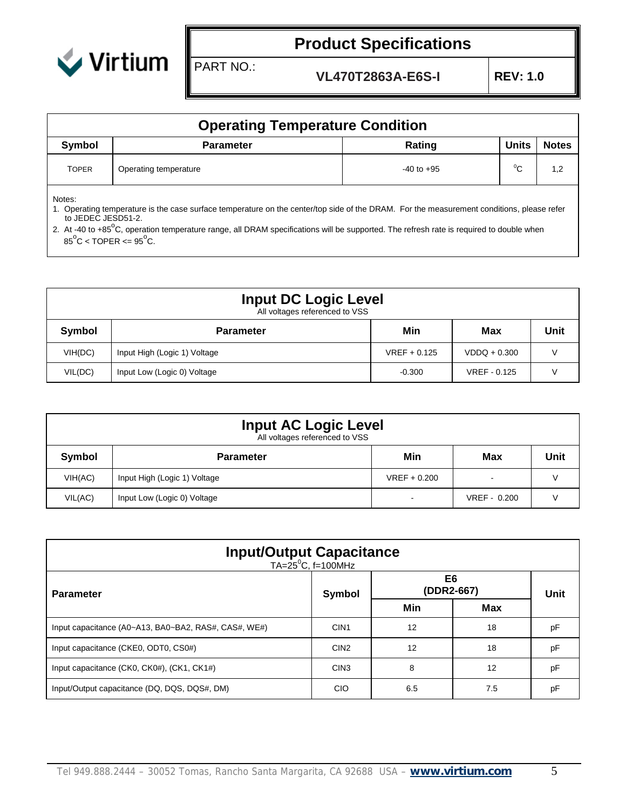

PART NO.:

**VL470T2863A-E6S-I REV: 1.0**

|              | <b>Operating Temperature Condition</b> |                |              |              |  |  |  |  |  |
|--------------|----------------------------------------|----------------|--------------|--------------|--|--|--|--|--|
| Symbol       | <b>Parameter</b>                       | Rating         | <b>Units</b> | <b>Notes</b> |  |  |  |  |  |
| <b>TOPER</b> | Operating temperature                  | $-40$ to $+95$ | $^0C$        | 1,2          |  |  |  |  |  |

Notes:

1. Operating temperature is the case surface temperature on the center/top side of the DRAM. For the measurement conditions, please refer to JEDEC JESD51-2.

2. At -40 to +85<sup>o</sup>C, operation temperature range, all DRAM specifications will be supported. The refresh rate is required to double when  $85^{\circ}$ C < TOPER <=  $95^{\circ}$ C.

|         | <b>Input DC Logic Level</b><br>All voltages referenced to VSS |                |                |      |  |  |  |  |  |
|---------|---------------------------------------------------------------|----------------|----------------|------|--|--|--|--|--|
| Symbol  | <b>Parameter</b>                                              | Min            | Max            | Unit |  |  |  |  |  |
| VIH(DC) | Input High (Logic 1) Voltage                                  | $VREF + 0.125$ | $VDDQ + 0.300$ |      |  |  |  |  |  |
| VIL(DC) | Input Low (Logic 0) Voltage                                   | $-0.300$       | VREF - 0.125   |      |  |  |  |  |  |

| <b>Input AC Logic Level</b><br>All voltages referenced to VSS |                              |                          |                          |      |  |  |  |  |
|---------------------------------------------------------------|------------------------------|--------------------------|--------------------------|------|--|--|--|--|
| Symbol                                                        | <b>Parameter</b>             | Min                      | Max                      | Unit |  |  |  |  |
| VIH(AC)                                                       | Input High (Logic 1) Voltage | $VREF + 0.200$           | $\overline{\phantom{a}}$ |      |  |  |  |  |
| VIL(AC)                                                       | Input Low (Logic 0) Voltage  | $\overline{\phantom{0}}$ | VREF - 0.200             |      |  |  |  |  |

| <b>Input/Output Capacitance</b><br>TA=25 <sup>°</sup> C, f=100MHz |                  |                              |     |             |  |  |  |
|-------------------------------------------------------------------|------------------|------------------------------|-----|-------------|--|--|--|
| <b>Parameter</b>                                                  | Symbol           | E <sub>6</sub><br>(DDR2-667) |     | <b>Unit</b> |  |  |  |
|                                                                   |                  | Min                          | Max |             |  |  |  |
| Input capacitance (A0~A13, BA0~BA2, RAS#, CAS#, WE#)              | CIN <sub>1</sub> | 12                           | 18  | рF          |  |  |  |
| Input capacitance (CKE0, ODT0, CS0#)                              | CIN <sub>2</sub> | 12                           | 18  | pF          |  |  |  |
| Input capacitance (CK0, CK0#), (CK1, CK1#)                        | CIN <sub>3</sub> | 8                            | 12  | pF          |  |  |  |
| Input/Output capacitance (DQ, DQS, DQS#, DM)                      | <b>CIO</b>       | 6.5                          | 7.5 | рF          |  |  |  |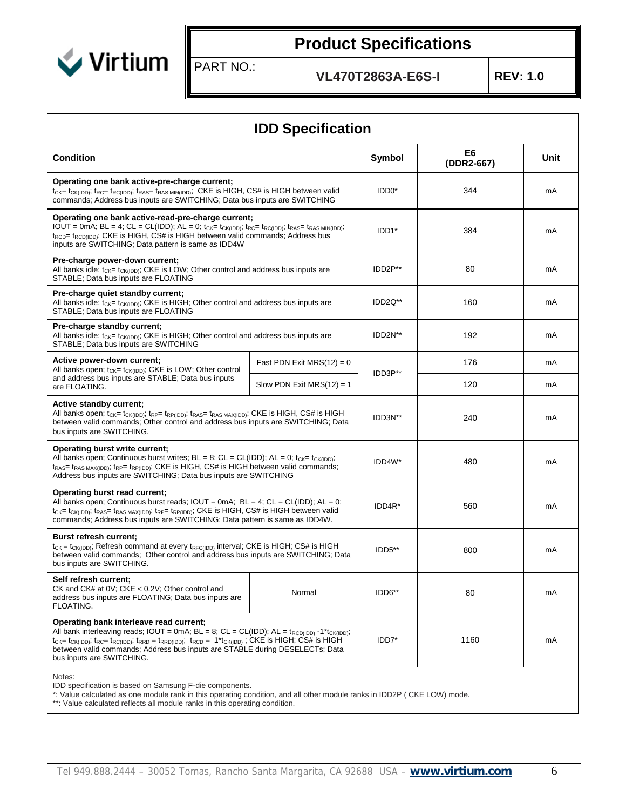

PART NO.:

**VL470T2863A-E6S-I REV: 1.0**

| <b>IDD Specification</b>                                                                                                                                                                                                                                                                                                                                                                                                         |                              |                    |                              |      |  |  |  |  |
|----------------------------------------------------------------------------------------------------------------------------------------------------------------------------------------------------------------------------------------------------------------------------------------------------------------------------------------------------------------------------------------------------------------------------------|------------------------------|--------------------|------------------------------|------|--|--|--|--|
| <b>Condition</b>                                                                                                                                                                                                                                                                                                                                                                                                                 |                              | Symbol             | E <sub>6</sub><br>(DDR2-667) | Unit |  |  |  |  |
| Operating one bank active-pre-charge current;<br>t <sub>CK</sub> = t <sub>CK(IDD)</sub> ; t <sub>RC</sub> = t <sub>RC(IDD)</sub> ; t <sub>RAS</sub> = t <sub>RAS MIN(IDD)</sub> ; CKE is HIGH, CS# is HIGH between valid<br>commands; Address bus inputs are SWITCHING; Data bus inputs are SWITCHING                                                                                                                            |                              | IDD <sub>0</sub> * | 344                          | mA   |  |  |  |  |
| Operating one bank active-read-pre-charge current;<br>IOUT = 0mA; BL = 4; CL = CL(IDD); AL = 0; $t_{CK} = t_{CK(IDD)}$ ; $t_{RC} = t_{RC(IDD)}$ ; $t_{RAS} = t_{RAS MIN(IDD)}$ ;<br>$t_{\text{RCD}}$ $t_{\text{RCD}(\text{DD})}$ ; CKE is HIGH, CS# is HIGH between valid commands; Address bus<br>inputs are SWITCHING; Data pattern is same as IDD4W                                                                           | IDD <sub>1</sub> *           | 384                | mA                           |      |  |  |  |  |
| Pre-charge power-down current;<br>All banks idle; $t_{CK} = t_{CK(IDD)}$ ; CKE is LOW; Other control and address bus inputs are<br>STABLE; Data bus inputs are FLOATING                                                                                                                                                                                                                                                          |                              | IDD2P**            | 80                           | mA   |  |  |  |  |
| Pre-charge quiet standby current;<br>All banks idle; $t_{CK} = t_{CK(ID)}$ ; CKE is HIGH; Other control and address bus inputs are<br>STABLE; Data bus inputs are FLOATING                                                                                                                                                                                                                                                       | IDD <sub>2Q</sub> **         | 160                | mA                           |      |  |  |  |  |
| Pre-charge standby current;<br>All banks idle; $t_{CK} = t_{CK(1DD)}$ ; CKE is HIGH; Other control and address bus inputs are<br>STABLE; Data bus inputs are SWITCHING                                                                                                                                                                                                                                                           | IDD <sub>2N</sub> **         | 192                | mA                           |      |  |  |  |  |
| Active power-down current;<br>All banks open; $t_{CK} = t_{CK(1DD)}$ ; CKE is LOW; Other control                                                                                                                                                                                                                                                                                                                                 | Fast PDN Exit MRS $(12) = 0$ |                    | 176                          | mA   |  |  |  |  |
| and address bus inputs are STABLE; Data bus inputs<br>are FLOATING.                                                                                                                                                                                                                                                                                                                                                              | Slow PDN Exit MRS $(12) = 1$ | IDD3P**            | 120                          | mA   |  |  |  |  |
| Active standby current;<br>All banks open; $t_{CK}$ = $t_{CK(1DD)}$ ; $t_{RP}$ = $t_{RP(1DD)}$ ; $t_{RAS}$ = $t_{RAS MAX(1DD)}$ ; CKE is HIGH, CS# is HIGH<br>between valid commands; Other control and address bus inputs are SWITCHING; Data<br>bus inputs are SWITCHING.                                                                                                                                                      |                              | IDD3N**            | 240                          | mA   |  |  |  |  |
| Operating burst write current;<br>All banks open; Continuous burst writes; $BL = 8$ ; $CL = CL(ID)$ ; $AL = 0$ ; $t_{CK} = t_{CK(DD)}$ ;<br>$t_{RAS}$ t <sub>RAS</sub> $t_{RAS}$ ( $t_{RP}$ $t_{RP(DD)}$ ); CKE is HIGH, CS# is HIGH between valid commands;<br>Address bus inputs are SWITCHING; Data bus inputs are SWITCHING                                                                                                  |                              | IDD4W*             | 480                          | mA   |  |  |  |  |
| Operating burst read current;<br>All banks open; Continuous burst reads; IOUT = $0$ mA; BL = 4; CL = CL(IDD); AL = 0;<br>t <sub>CK</sub> = t <sub>CK(IDD)</sub> ; t <sub>RAS</sub> = t <sub>RAS MAX(IDD)</sub> ; t <sub>RP</sub> = t <sub>RP(IDD)</sub> ; CKE is HIGH, CS# is HIGH between valid<br>commands; Address bus inputs are SWITCHING; Data pattern is same as IDD4W.                                                   |                              | IDD4R*             | 560                          | mA   |  |  |  |  |
| <b>Burst refresh current;</b><br>$t_{CK}$ = $t_{CK(DD)}$ ; Refresh command at every $t_{RFC(IDD)}$ interval; CKE is HIGH; CS# is HIGH<br>between valid commands; Other control and address bus inputs are SWITCHING; Data<br>bus inputs are SWITCHING.                                                                                                                                                                           |                              | IDD5**             | 800                          | mA   |  |  |  |  |
| Self refresh current;<br>CK and CK# at $0V$ ; CKE < $0.2V$ ; Other control and<br>address bus inputs are FLOATING; Data bus inputs are<br>FLOATING.                                                                                                                                                                                                                                                                              | Normal                       | IDD6**             | 80                           | mA   |  |  |  |  |
| Operating bank interleave read current;<br>All bank interleaving reads; IOUT = 0mA; $BL = 8$ ; $CL = CL(ID)$ ; $AL = t_{RCD(ID)}$ -1 <sup>*</sup> t <sub>CK(lDD)</sub> ;<br>$t_{CK}$ $t_{CK(1DD)}$ ; $t_{RC}$ $t_{RC(1DD)}$ ; $t_{RRD}$ $=$ $t_{RRD(1DD)}$ ; $t_{RCD}$ $= 1*t_{CK(1DD)}$ ; CKE is HIGH; CS# is HIGH<br>between valid commands; Address bus inputs are STABLE during DESELECTs; Data<br>bus inputs are SWITCHING. | IDD7*                        | 1160               | mA                           |      |  |  |  |  |

Notes:

IDD specification is based on Samsung F-die components.

\*: Value calculated as one module rank in this operating condition, and all other module ranks in IDD2P ( CKE LOW) mode.

\*\*: Value calculated reflects all module ranks in this operating condition.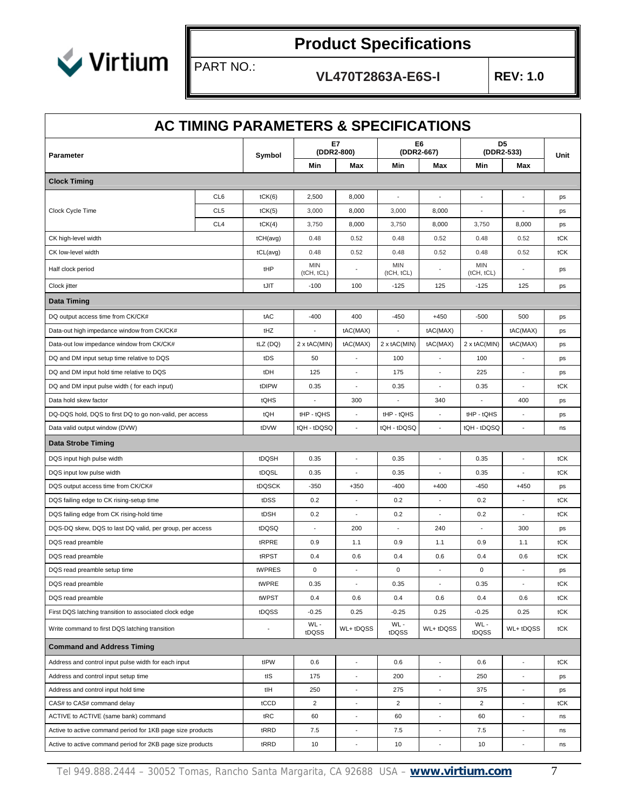

PART NO.:

**VL470T2863A-E6S-I REV: 1.0**

| AC TIMING PARAMETERS & SPECIFICATIONS                      |                 |            |                   |                              |                          |                          |                          |                          |      |
|------------------------------------------------------------|-----------------|------------|-------------------|------------------------------|--------------------------|--------------------------|--------------------------|--------------------------|------|
| Parameter                                                  |                 | Symbol     | (DDR2-800)        | E7                           | (DDR2-667)               | E6                       | (DDR2-533)               | D <sub>5</sub>           | Unit |
|                                                            |                 |            | Min               | Max                          | Min                      | Max                      | Min                      | Max                      |      |
| <b>Clock Timing</b>                                        |                 |            |                   |                              |                          |                          |                          |                          |      |
|                                                            | CL6             | tCK(6)     | 2,500             | 8,000                        | $\overline{\phantom{a}}$ | $\overline{a}$           | $\overline{\phantom{a}}$ | ÷,                       | ps   |
| Clock Cycle Time                                           | CL <sub>5</sub> | tCK(5)     | 3,000             | 8,000                        | 3,000                    | 8,000                    | ÷,                       | $\overline{\phantom{a}}$ | ps   |
|                                                            | CL <sub>4</sub> | tCK(4)     | 3,750             | 8,000                        | 3,750                    | 8,000                    | 3,750                    | 8,000                    | ps   |
| CK high-level width                                        |                 | tCH(avg)   | 0.48              | 0.52                         | 0.48                     | 0.52                     | 0.48                     | 0.52                     | tCK  |
| CK low-level width                                         |                 | tCL(avg)   | 0.48              | 0.52                         | 0.48                     | 0.52                     | 0.48                     | 0.52                     | tCK  |
| Half clock period                                          |                 | tHP        | MIN<br>(tCH, tCL) |                              | <b>MIN</b><br>(tCH, tCL) |                          | <b>MIN</b><br>(tCH, tCL) |                          | ps   |
| Clock jitter                                               |                 | tJIT       | $-100$            | 100                          | $-125$                   | 125                      | $-125$                   | 125                      | ps   |
| <b>Data Timing</b>                                         |                 |            |                   |                              |                          |                          |                          |                          |      |
| DQ output access time from CK/CK#                          |                 | tAC        | $-400$            | 400                          | $-450$                   | $+450$                   | $-500$                   | 500                      | ps   |
| Data-out high impedance window from CK/CK#                 |                 | tHZ        |                   | tAC(MAX)                     |                          | tAC(MAX)                 |                          | tAC(MAX)                 | ps   |
| Data-out low impedance window from CK/CK#                  |                 | tLZ (DQ)   | 2 x tAC(MIN)      | tAC(MAX)                     | 2 x tAC(MIN)             | tAC(MAX)                 | $2 \times tAC(MIN)$      | tAC(MAX)                 | ps   |
| DQ and DM input setup time relative to DQS                 |                 | tDS        | 50                |                              | 100                      | ÷,                       | 100                      |                          | ps   |
| DQ and DM input hold time relative to DQS                  |                 | tDH        | 125               | $\overline{a}$               | 175                      | ÷,                       | 225                      | Ξ                        | ps   |
| DQ and DM input pulse width (for each input)               |                 | tDIPW      | 0.35              |                              | 0.35                     |                          | 0.35                     |                          | tCK  |
| Data hold skew factor                                      | tQHS            | ÷,         | 300               | $\overline{\phantom{a}}$     | 340                      | $\blacksquare$           | 400                      | ps                       |      |
| DQ-DQS hold, DQS to first DQ to go non-valid, per access   | tQH             | tHP - tQHS | ÷,                | tHP - tQHS                   | $\overline{\phantom{a}}$ | tHP - tQHS               |                          | ps                       |      |
| Data valid output window (DVW)                             |                 | tDVW       | tQH - tDQSQ       |                              | tQH - tDQSQ              |                          | tQH - tDQSQ              |                          | ns   |
| <b>Data Strobe Timing</b>                                  |                 |            |                   |                              |                          |                          |                          |                          |      |
| DQS input high pulse width                                 |                 | tDQSH      | 0.35              | J.                           | 0.35                     | $\overline{a}$           | 0.35                     | $\overline{a}$           | tCK  |
| DQS input low pulse width                                  |                 | tDQSL      | 0.35              | ÷,                           | 0.35                     |                          | 0.35                     |                          | tCK  |
| DQS output access time from CK/CK#                         |                 | tDQSCK     | $-350$            | $+350$                       | $-400$                   | $+400$                   | $-450$                   | $+450$                   | ps   |
| DQS failing edge to CK rising-setup time                   |                 | tDSS       | 0.2               | ÷,                           | 0.2                      | ÷,                       | 0.2                      | ٠                        | tCK  |
| DQS failing edge from CK rising-hold time                  |                 | tDSH       | 0.2               |                              | 0.2                      |                          | 0.2                      |                          | tCK  |
| DQS-DQ skew, DQS to last DQ valid, per group, per access   |                 | tDQSQ      |                   | 200                          |                          | 240                      | $\overline{\phantom{a}}$ | 300                      | ps   |
| DQS read preamble                                          |                 | tRPRE      | 0.9               | 1.1                          | 0.9                      | 1.1                      | 0.9                      | 1.1                      | tCK  |
| DQS read preamble                                          |                 | tRPST      | 0.4               | 0.6                          | 0.4                      | 0.6                      | 0.4                      | 0.6                      | tCK  |
| DQS read preamble setup time                               |                 | tWPRES     | $\mathbf 0$       | $\overline{\phantom{a}}$     | $\mathbf 0$              | $\overline{\phantom{a}}$ | $\mathbf 0$              | ÷,                       | ps   |
| DQS read preamble                                          |                 | tWPRE      | 0.35              | $\overline{\phantom{a}}$     | 0.35                     | $\Box$                   | 0.35                     | $\overline{\phantom{a}}$ | tCK  |
| DQS read preamble                                          |                 | tWPST      | 0.4               | 0.6                          | 0.4                      | 0.6                      | 0.4                      | 0.6                      | tCK  |
| First DQS latching transition to associated clock edge     |                 | tDQSS      | $-0.25$           | 0.25                         | $-0.25$                  | 0.25                     | $-0.25$                  | 0.25                     | tCK  |
| Write command to first DQS latching transition             |                 |            | WL-<br>tDQSS      | WL+ tDQSS                    | WL-<br>tDQSS             | WL+ tDQSS                | WL-<br>tDQSS             | WL+ tDQSS                | tCK  |
| <b>Command and Address Timing</b>                          |                 |            |                   |                              |                          |                          |                          |                          |      |
| Address and control input pulse width for each input       |                 | tIPW       | 0.6               | ÷,                           | 0.6                      | ÷,                       | 0.6                      | $\blacksquare$           | tCK  |
| Address and control input setup time                       |                 | tIS        | 175               | $\centerdot$                 | 200                      | $\overline{\phantom{a}}$ | 250                      | $\overline{\phantom{a}}$ | ps   |
| Address and control input hold time                        |                 | tlH        | 250               | ÷                            | 275                      | $\blacksquare$           | 375                      | $\overline{\phantom{a}}$ | ps   |
| CAS# to CAS# command delay                                 |                 | tCCD       | $\overline{2}$    | $\blacksquare$               | $\overline{2}$           | $\blacksquare$           | $\overline{2}$           | $\blacksquare$           | tCK  |
| ACTIVE to ACTIVE (same bank) command                       |                 | tRC        | 60                |                              | 60                       |                          | 60                       |                          | ns   |
| Active to active command period for 1KB page size products |                 | tRRD       | 7.5               | $\qquad \qquad \blacksquare$ | 7.5                      | $\overline{\phantom{a}}$ | 7.5                      | $\frac{1}{2}$            | ns   |
| Active to active command period for 2KB page size products |                 | tRRD       | 10                | $\overline{\phantom{a}}$     | 10                       | $\blacksquare$           | 10                       | ÷,                       | ns   |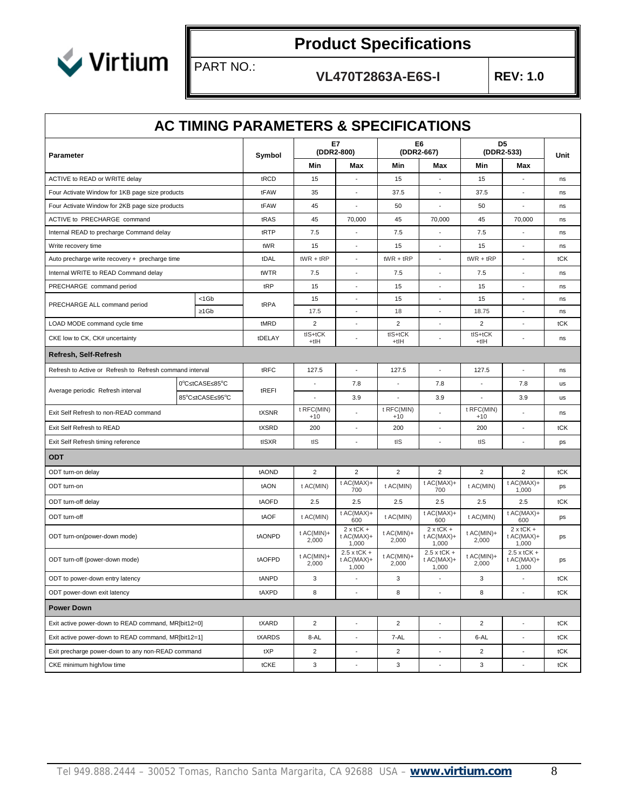

PART NO.:

**VL470T2863A-E6S-I REV: 1.0**

|                                                          | <b>AC TIMING PARAMETERS &amp; SPECIFICATIONS</b> |        |                         |                                             |                     |                                           |                     |                                           |      |
|----------------------------------------------------------|--------------------------------------------------|--------|-------------------------|---------------------------------------------|---------------------|-------------------------------------------|---------------------|-------------------------------------------|------|
| Parameter                                                |                                                  | Symbol |                         | E7<br>(DDR2-800)                            |                     | E6<br>(DDR2-667)                          |                     | D <sub>5</sub><br>(DDR2-533)              | Unit |
|                                                          |                                                  |        | Min                     | Max                                         | Min                 | Max                                       | Min                 | Max                                       |      |
| ACTIVE to READ or WRITE delay                            |                                                  | tRCD   | 15                      | $\overline{\phantom{a}}$                    | 15                  | $\overline{\phantom{a}}$                  | 15                  |                                           | ns   |
| Four Activate Window for 1KB page size products          |                                                  | tFAW   | 35                      | ÷,                                          | 37.5                | $\blacksquare$                            | 37.5                |                                           | ns   |
| Four Activate Window for 2KB page size products          |                                                  | tFAW   | 45                      |                                             | 50                  | L,                                        | 50                  |                                           | ns   |
| ACTIVE to PRECHARGE command                              |                                                  | tRAS   | 45                      | 70,000                                      | 45                  | 70,000                                    | 45                  | 70,000                                    | ns   |
| Internal READ to precharge Command delay                 |                                                  | tRTP   | 7.5                     | ÷,                                          | 7.5                 | ÷,                                        | 7.5                 | ÷,                                        | ns   |
| Write recovery time                                      |                                                  | tWR    | 15                      | $\overline{\phantom{a}}$                    | 15                  | $\overline{\phantom{a}}$                  | 15                  | $\overline{\phantom{a}}$                  | ns   |
| Auto precharge write recovery + precharge time           |                                                  | tDAL   | $tWR + tRP$             | ÷,                                          | $tWR + tRP$         | $\overline{a}$                            | $tWR + tRP$         |                                           | tCK  |
| Internal WRITE to READ Command delay                     |                                                  | tWTR   | 7.5                     |                                             | 7.5                 |                                           | 7.5                 |                                           | ns   |
| PRECHARGE command period                                 |                                                  | tRP    | 15                      |                                             | 15                  |                                           | 15                  |                                           | ns   |
| PRECHARGE ALL command period                             | $1$ Gb                                           | tRPA   | 15                      |                                             | 15                  |                                           | 15                  |                                           | ns   |
|                                                          | 1Gb                                              |        | 17.5                    |                                             | 18                  |                                           | 18.75               |                                           | ns   |
| LOAD MODE command cycle time                             |                                                  | tMRD   | $\overline{\mathbf{c}}$ | ÷,                                          | $\overline{c}$      | $\blacksquare$                            | 2                   |                                           | tCK  |
| CKE low to CK, CK# uncertainty                           |                                                  | tDELAY | tIS+tCK<br>$+tH$        |                                             | tIS+tCK<br>$+tH$    |                                           | tIS+tCK<br>$+tH$    |                                           | ns   |
| Refresh, Self-Refresh                                    |                                                  |        |                         |                                             |                     |                                           |                     |                                           |      |
| Refresh to Active or Refresh to Refresh command interval |                                                  | tRFC   | 127.5                   | ÷,                                          | 127.5               | $\blacksquare$                            | 127.5               | ÷,                                        | ns   |
| Average periodic Refresh interval                        | 0°C tCASE 85°C                                   | tREFI  |                         | 7.8                                         |                     | 7.8                                       |                     | 7.8                                       | us   |
|                                                          | 85°C tCASE 95°C                                  |        |                         | 3.9                                         |                     | 3.9                                       |                     | 3.9                                       | us   |
| Exit Self Refresh to non-READ command                    |                                                  | tXSNR  | t RFC(MIN)<br>$+10$     |                                             | t RFC(MIN)<br>$+10$ |                                           | t RFC(MIN)<br>$+10$ |                                           | ns   |
| Exit Self Refresh to READ                                |                                                  | tXSRD  | 200                     | ÷,                                          | 200                 | $\blacksquare$                            | 200                 | $\overline{\phantom{a}}$                  | tCK  |
| Exit Self Refresh timing reference                       |                                                  | tISXR  | tIS                     | $\overline{a}$                              | tIS                 | $\overline{a}$                            | tIS                 |                                           | ps   |
| <b>ODT</b>                                               |                                                  |        |                         |                                             |                     |                                           |                     |                                           |      |
| ODT turn-on delay                                        |                                                  | tAOND  | 2                       | $\overline{2}$                              | $\overline{c}$      | $\overline{c}$                            | 2                   | $\overline{c}$                            | tCK  |
| ODT turn-on                                              |                                                  | tAON   | t AC(MIN)               | t AC(MAX)+<br>700                           | t AC(MIN)           | $t$ AC(MAX)+<br>700                       | t AC(MIN)           | t AC(MAX)+<br>1,000                       | ps   |
| ODT turn-off delay                                       |                                                  | tAOFD  | 2.5                     | 2.5                                         | 2.5                 | 2.5                                       | 2.5                 | 2.5                                       | tCK  |
| ODT turn-off                                             |                                                  | tAOF   | t AC(MIN)               | $t$ AC(MAX)+<br>600                         | t AC(MIN)           | $t$ AC(MAX)+<br>600                       | t AC(MIN)           | $t$ AC(MAX)+<br>600                       | ps   |
| ODT turn-on(power-down mode)                             |                                                  | tAONPD | $t$ AC(MIN)+<br>2,000   | $2 \times tCK +$<br>t AC(MAX)+<br>1,000     | t AC(MIN)+<br>2,000 | $2 \times tCK +$<br>$t$ AC(MAX)+<br>1,000 | t AC(MIN)+<br>2,000 | $2 \times tCK +$<br>t AC(MAX)+<br>1,000   | ps   |
| ODT turn-off (power-down mode)                           |                                                  | tAOFPD | $t$ AC(MIN)+<br>2,000   | $2.5 \times tCK +$<br>$t$ AC(MAX)+<br>1,000 | t AC(MIN)+<br>2,000 | $2.5$ x tCK +<br>t AC(MAX)+<br>1,000      | t AC(MIN)+<br>2,000 | $2.5 \times tCK +$<br>t AC(MAX)+<br>1,000 | ps   |
| ODT to power-down entry latency                          |                                                  | tANPD  | 3                       |                                             | 3                   |                                           | 3                   |                                           | tCK  |
| ODT power-down exit latency                              |                                                  | tAXPD  | 8                       |                                             | 8                   |                                           | 8                   |                                           | tCK  |
| <b>Power Down</b>                                        |                                                  |        |                         |                                             |                     |                                           |                     |                                           |      |
| Exit active power-down to READ command, MR[bit12=0]      |                                                  | tXARD  | $\overline{2}$          | ÷,                                          | $\overline{2}$      | $\overline{a}$                            | $\overline{2}$      |                                           | tCK  |
| Exit active power-down to READ command, MR[bit12=1]      |                                                  | tXARDS | 8-AL                    | $\overline{\phantom{a}}$                    | 7-AL                | $\overline{\phantom{a}}$                  | 6-AL                | ÷,                                        | tCK  |
| Exit precharge power-down to any non-READ command        |                                                  | tXP    | $\overline{2}$          | ÷,                                          | $\overline{2}$      | $\blacksquare$                            | $\overline{c}$      | ÷,                                        | tCK  |
| CKE minimum high/low time                                |                                                  | tCKE   | 3                       | $\overline{\phantom{a}}$                    | $\mathbf{3}$        | $\overline{\phantom{a}}$                  | $\mathbf{3}$        | $\overline{\phantom{a}}$                  | tCK  |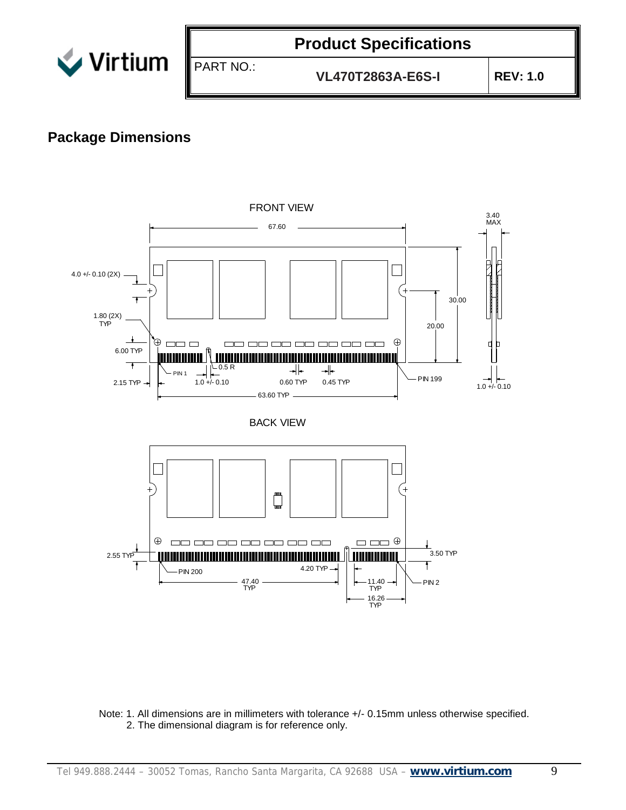

PART NO.:

## **Product Specifications**

**VL470T2863A-E6S-I REV: 1.0**

#### **Package Dimensions**